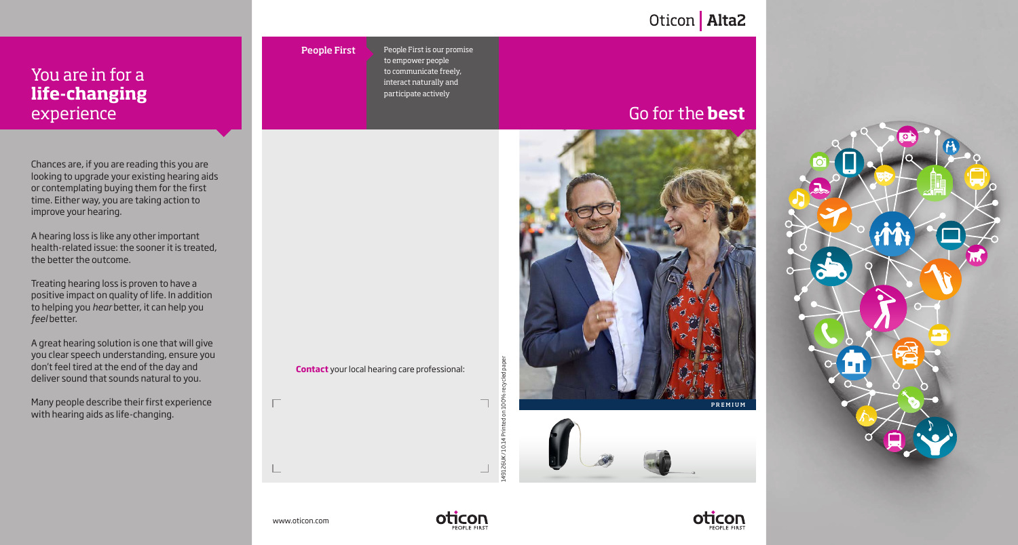## You are in for a **life-changing** experience

Chances are, if you are reading this you are looking to upgrade your existing hearing aids or contemplating buying them for the first time. Either way, you are taking action to improve your hearing.

A hearing loss is like any other important health-related issue: the sooner it is treated, the better the outcome.

Treating hearing loss is proven to have a positive impact on quality of life. In addition to helping you *hear* better, it can help you *feel* better.

A great hearing solution is one that will give you clear speech understanding, ensure you don't feel tired at the end of the day and deliver sound that sounds natural to you.

Many people describe their first experience with hearing aids as life-changing.

People First

**Contact** your local hearing care professional:

# Oticon | Alta2

People First is our promise to empower people to communicate freely, interact naturally and participate actively

# Go for the **best**







### www.oticon.com

 $\Box$ 



149126UK/ 10.14 Printed on 100% recycled paper